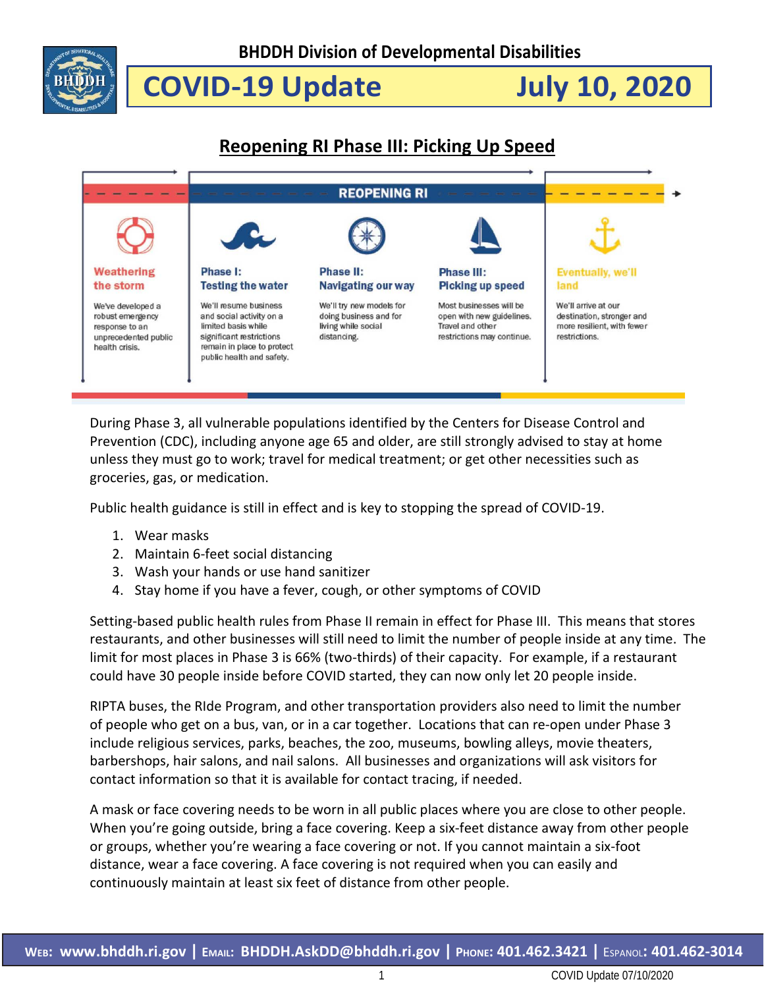

 **COVID-19 Update July 10, 2020**

### **Reopening RI Phase III: Picking Up Speed**



During Phase 3, all vulnerable populations identified by the Centers for Disease Control and Prevention (CDC), including anyone age 65 and older, are still strongly advised to stay at home unless they must go to work; travel for medical treatment; or get other necessities such as groceries, gas, or medication.

Public health guidance is still in effect and is key to stopping the spread of COVID-19.

- 1. Wear masks
- 2. Maintain 6-feet social distancing
- 3. Wash your hands or use hand sanitizer
- 4. Stay home if you have a fever, cough, or other symptoms of COVID

Setting-based public health rules from Phase II remain in effect for Phase III. This means that stores restaurants, and other businesses will still need to limit the number of people inside at any time. The limit for most places in Phase 3 is 66% (two-thirds) of their capacity. For example, if a restaurant could have 30 people inside before COVID started, they can now only let 20 people inside.

RIPTA buses, the RIde Program, and other transportation providers also need to limit the number of people who get on a bus, van, or in a car together. Locations that can re-open under Phase 3 include religious services, parks, beaches, the zoo, museums, bowling alleys, movie theaters, barbershops, hair salons, and nail salons. All businesses and organizations will ask visitors for contact information so that it is available for contact tracing, if needed.

A mask or face covering needs to be worn in all public places where you are close to other people. When you're going outside, bring a face covering. Keep a six-feet distance away from other people or groups, whether you're wearing a face covering or not. If you cannot maintain a six-foot distance, wear a face covering. A face covering is not required when you can easily and continuously maintain at least six feet of distance from other people.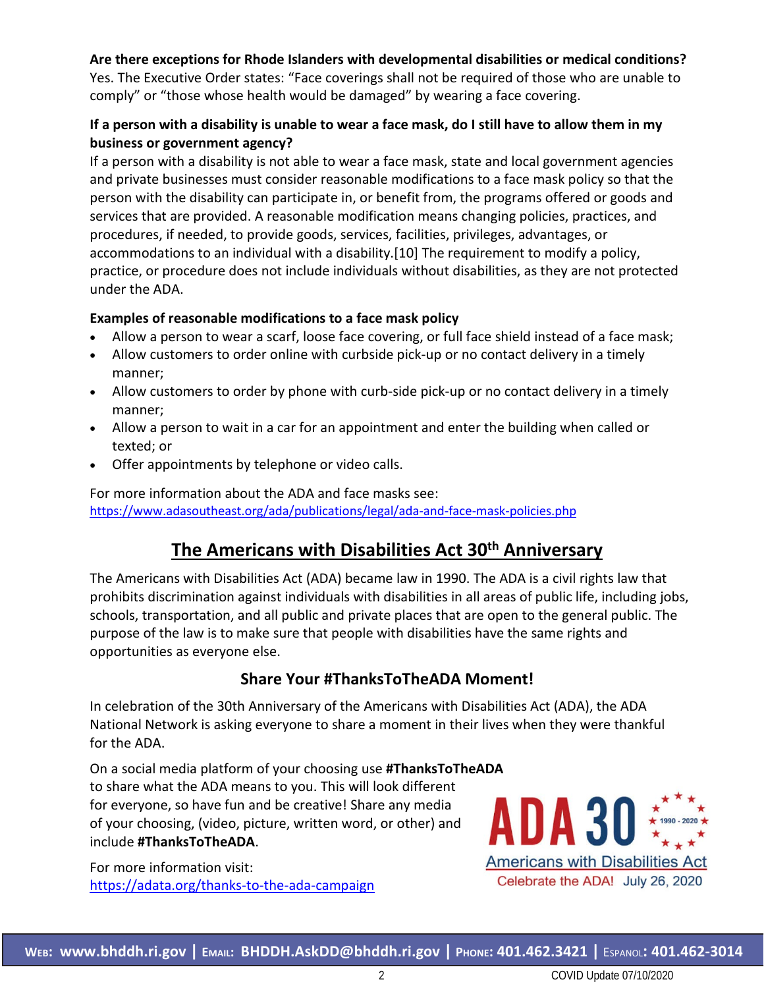#### **Are there exceptions for Rhode Islanders with developmental disabilities or medical conditions?**

Yes. The Executive Order states: "Face coverings shall not be required of those who are unable to comply" or "those whose health would be damaged" by wearing a face covering.

#### **If a person with a disability is unable to wear a face mask, do I still have to allow them in my business or government agency?**

If a person with a disability is not able to wear a face mask, state and local government agencies and private businesses must consider reasonable modifications to a face mask policy so that the person with the disability can participate in, or benefit from, the programs offered or goods and services that are provided. A reasonable modification means changing policies, practices, and procedures, if needed, to provide goods, services, facilities, privileges, advantages, or accommodations to an individual with a disability.[10] The requirement to modify a policy, practice, or procedure does not include individuals without disabilities, as they are not protected under the ADA.

#### **Examples of reasonable modifications to a face mask policy**

- Allow a person to wear a scarf, loose face covering, or full face shield instead of a face mask;
- Allow customers to order online with curbside pick-up or no contact delivery in a timely manner;
- Allow customers to order by phone with curb-side pick-up or no contact delivery in a timely manner;
- Allow a person to wait in a car for an appointment and enter the building when called or texted; or
- Offer appointments by telephone or video calls.

For more information about the ADA and face masks see: <https://www.adasoutheast.org/ada/publications/legal/ada-and-face-mask-policies.php>

### **The Americans with Disabilities Act 30th Anniversary**

The Americans with Disabilities Act (ADA) became law in 1990. The ADA is a civil rights law that prohibits discrimination against individuals with disabilities in all areas of public life, including jobs, schools, transportation, and all public and private places that are open to the general public. The purpose of the law is to make sure that people with disabilities have the same rights and opportunities as everyone else.

### **Share Your #ThanksToTheADA Moment!**

In celebration of the 30th Anniversary of the Americans with Disabilities Act (ADA), the ADA National Network is asking everyone to share a moment in their lives when they were thankful for the ADA.

On a social media platform of your choosing use **#ThanksToTheADA** to share what the ADA means to you. This will look different for everyone, so have fun and be creative! Share any media of your choosing, (video, picture, written word, or other) and include **#ThanksToTheADA**.

For more information visit: <https://adata.org/thanks-to-the-ada-campaign>

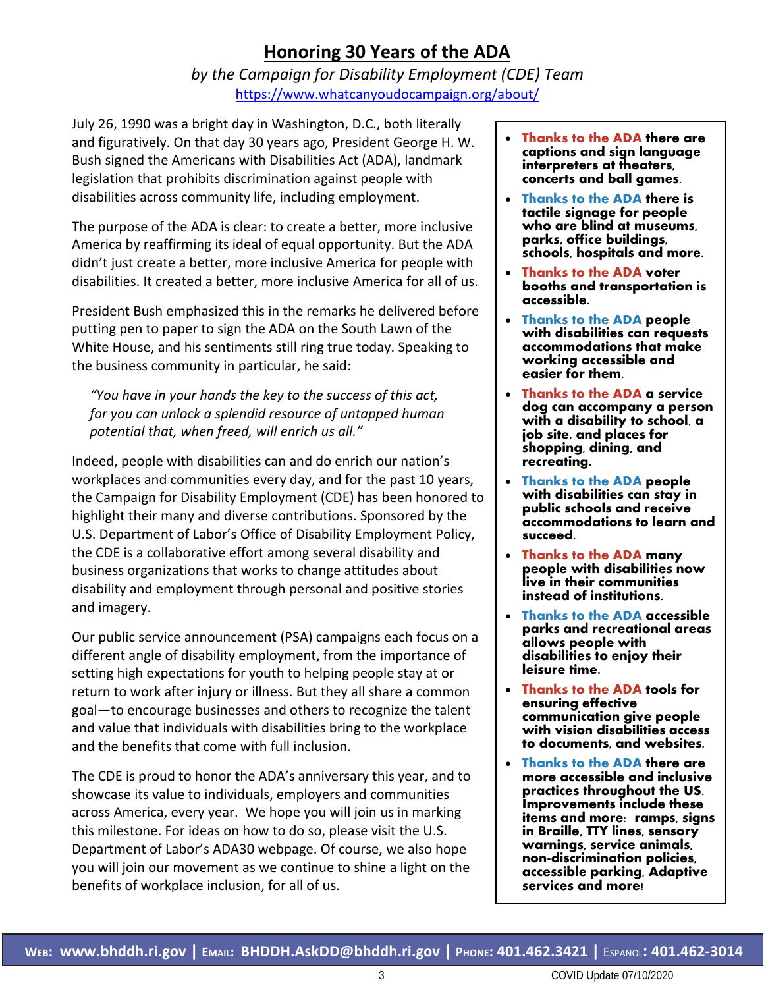### **Honoring 30 Years of the ADA**

*by the Campaign for Disability Employment (CDE) Team* <https://www.whatcanyoudocampaign.org/about/>

July 26, 1990 was a bright day in Washington, D.C., both literally and figuratively. On that day 30 years ago, President George H. W. Bush signed the Americans with Disabilities Act (ADA), landmark legislation that prohibits discrimination against people with disabilities across community life, including employment.

The purpose of the ADA is clear: to create a better, more inclusive America by reaffirming its ideal of equal opportunity. But the ADA didn't just create a better, more inclusive America for people with disabilities. It created a better, more inclusive America for all of us.

President Bush emphasized this in the remarks he delivered before putting pen to paper to sign the ADA on the South Lawn of the White House, and his sentiments still ring true today. Speaking to the business community in particular, he said:

*"You have in your hands the key to the success of this act, for you can unlock a splendid resource of untapped human potential that, when freed, will enrich us all."*

Indeed, people with disabilities can and do enrich our nation's workplaces and communities every day, and for the past 10 years, the Campaign for Disability Employment (CDE) has been honored to highlight their many and diverse contributions. Sponsored by the U.S. Department of Labor's Office of Disability Employment Policy, the CDE is a collaborative effort among several disability and business organizations that works to change attitudes about disability and employment through personal and positive stories and imagery.

Our public service announcement (PSA) campaigns each focus on a different angle of disability employment, from the importance of setting high expectations for youth to helping people stay at or return to work after injury or illness. But they all share a common goal—to encourage businesses and others to recognize the talent and value that individuals with disabilities bring to the workplace and the benefits that come with full inclusion.

The CDE is proud to honor the ADA's anniversary this year, and to showcase its value to individuals, employers and communities across America, every year. We hope you will join us in marking this milestone. For ideas on how to do so, please visit the U.S. Department of Labor's ADA30 webpage. Of course, we also hope you will join our movement as we continue to shine a light on the benefits of workplace inclusion, for all of us.

- **Thanks to the ADA there are captions and sign language interpreters at theaters, concerts and ball games.**
- **Thanks to the ADA there is tactile signage for people who are blind at museums, parks, office buildings, schools, hospitals and more.**
- **Thanks to the ADA voter booths and transportation is accessible.**
- **Thanks to the ADA people with disabilities can requests accommodations that make working accessible and easier for them.**
- **Thanks to the ADA a service dog can accompany a person with a disability to school, a job site, and places for shopping, dining, and recreating.**
- **Thanks to the ADA people with disabilities can stay in public schools and receive accommodations to learn and succeed.**
- **Thanks to the ADA many people with disabilities now live in their communities instead of institutions.**
- **Thanks to the ADA accessible parks and recreational areas allows people with disabilities to enjoy their leisure time.**
- **Thanks to the ADA tools for ensuring effective communication give people with vision disabilities access to documents, and websites.**
- **Thanks to the ADA there are more accessible and inclusive practices throughout the US. Improvements include these items and more: ramps, signs in Braille, TTY lines, sensory warnings, service animals, non-discrimination policies, accessible parking, Adaptive services and more!**

3 COVID Update 07/10/2020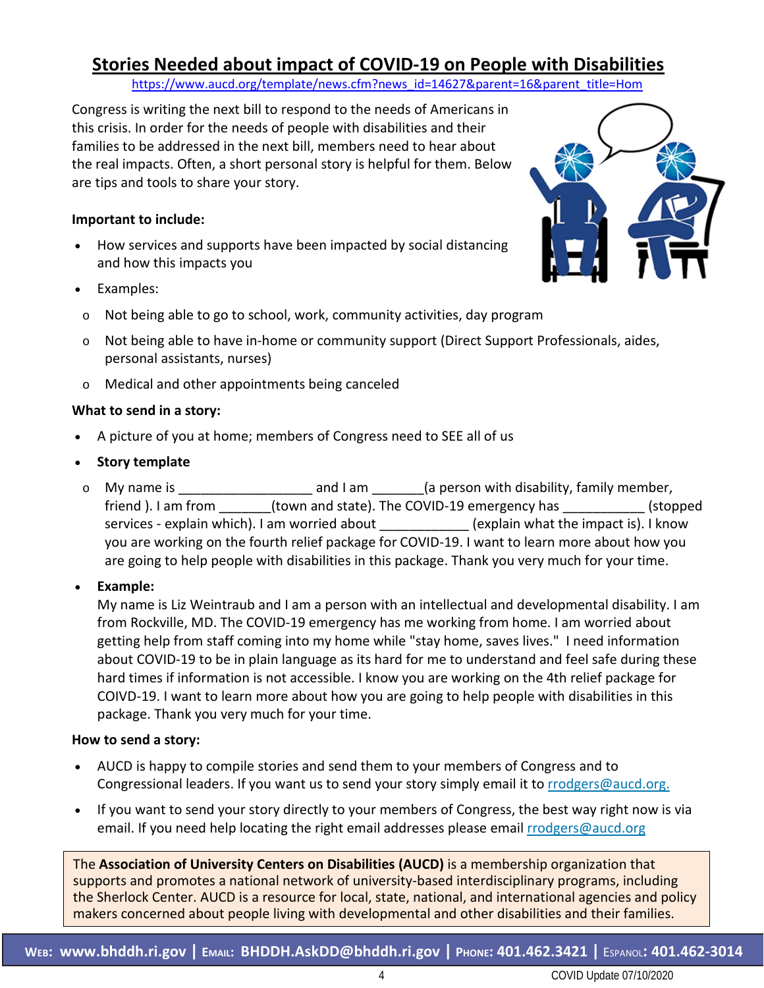### **Stories Needed about impact of COVID-19 on People with Disabilities**

[https://www.aucd.org/template/news.cfm?news\\_id=14627&parent=16&parent\\_title=Hom](https://www.aucd.org/template/news.cfm?news_id=14627&parent=16&parent_title=Hom)

Congress is writing the next bill to respond to the needs of Americans in this crisis. In order for the needs of people with disabilities and their families to be addressed in the next bill, members need to hear about the real impacts. Often, a short personal story is helpful for them. Below are tips and tools to share your story.

#### **Important to include:**

- How services and supports have been impacted by social distancing and how this impacts you
- Examples:
- o Not being able to go to school, work, community activities, day program
- o Not being able to have in-home or community support (Direct Support Professionals, aides, personal assistants, nurses)
- o Medical and other appointments being canceled

#### **What to send in a story:**

- A picture of you at home; members of Congress need to SEE all of us
- **Story template**
- o My name is **Example 20** and I am  $\alpha$  (a person with disability, family member, friend ). I am from (town and state). The COVID-19 emergency has \_\_\_\_\_\_\_\_\_\_ (stopped services - explain which). I am worried about \_\_\_\_\_\_\_\_\_\_\_\_\_(explain what the impact is). I know you are working on the fourth relief package for COVID-19. I want to learn more about how you are going to help people with disabilities in this package. Thank you very much for your time.

#### • **Example:**

My name is Liz Weintraub and I am a person with an intellectual and developmental disability. I am from Rockville, MD. The COVID-19 emergency has me working from home. I am worried about getting help from staff coming into my home while "stay home, saves lives." I need information about COVID-19 to be in plain language as its hard for me to understand and feel safe during these hard times if information is not accessible. I know you are working on the 4th relief package for COIVD-19. I want to learn more about how you are going to help people with disabilities in this package. Thank you very much for your time.

#### **How to send a story:**

- AUCD is happy to compile stories and send them to your members of Congress and to Congressional leaders. If you want us to send your story simply email it to [rrodgers@aucd.org.](mailto:rrodgers@aucd.org.)
- If you want to send your story directly to your members of Congress, the best way right now is via email. If you need help locating the right email addresses please email [rrodgers@aucd.org](mailto:rrodgers@aucd.org)

The **Association of University Centers on Disabilities (AUCD)** is a membership organization that supports and promotes a national network of university-based interdisciplinary programs, including the Sherlock Center. AUCD is a resource for local, state, national, and international agencies and policy makers concerned about people living with developmental and other disabilities and their families.

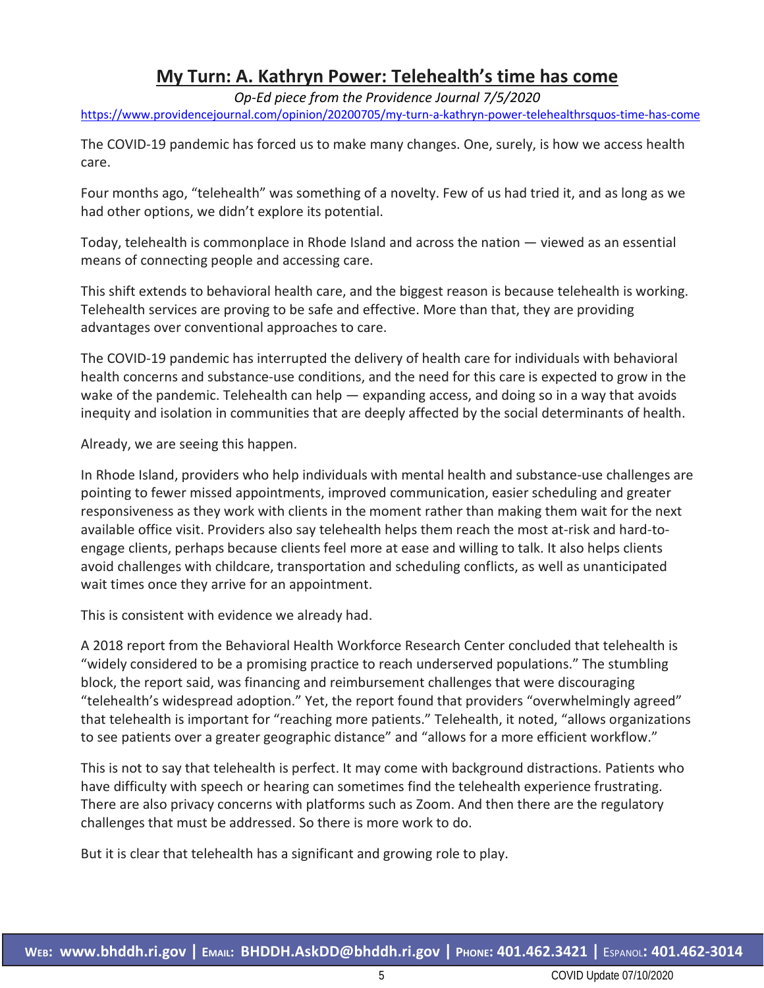### **My Turn: A. Kathryn Power: Telehealth's time has come**

*Op-Ed piece from the Providence Journal 7/5/2020* <https://www.providencejournal.com/opinion/20200705/my-turn-a-kathryn-power-telehealthrsquos-time-has-come>

The COVID-19 pandemic has forced us to make many changes. One, surely, is how we access health care.

Four months ago, "telehealth" was something of a novelty. Few of us had tried it, and as long as we had other options, we didn't explore its potential.

Today, telehealth is commonplace in Rhode Island and across the nation — viewed as an essential means of connecting people and accessing care.

This shift extends to behavioral health care, and the biggest reason is because telehealth is working. Telehealth services are proving to be safe and effective. More than that, they are providing advantages over conventional approaches to care.

The COVID-19 pandemic has interrupted the delivery of health care for individuals with behavioral health concerns and substance-use conditions, and the need for this care is expected to grow in the wake of the pandemic. Telehealth can help — expanding access, and doing so in a way that avoids inequity and isolation in communities that are deeply affected by the social determinants of health.

Already, we are seeing this happen.

In Rhode Island, providers who help individuals with mental health and substance-use challenges are pointing to fewer missed appointments, improved communication, easier scheduling and greater responsiveness as they work with clients in the moment rather than making them wait for the next available office visit. Providers also say telehealth helps them reach the most at-risk and hard-toengage clients, perhaps because clients feel more at ease and willing to talk. It also helps clients avoid challenges with childcare, transportation and scheduling conflicts, as well as unanticipated wait times once they arrive for an appointment.

This is consistent with evidence we already had.

A 2018 report from the Behavioral Health Workforce Research Center concluded that telehealth is "widely considered to be a promising practice to reach underserved populations." The stumbling block, the report said, was financing and reimbursement challenges that were discouraging "telehealth's widespread adoption." Yet, the report found that providers "overwhelmingly agreed" that telehealth is important for "reaching more patients." Telehealth, it noted, "allows organizations to see patients over a greater geographic distance" and "allows for a more efficient workflow."

This is not to say that telehealth is perfect. It may come with background distractions. Patients who have difficulty with speech or hearing can sometimes find the telehealth experience frustrating. There are also privacy concerns with platforms such as Zoom. And then there are the regulatory challenges that must be addressed. So there is more work to do.

But it is clear that telehealth has a significant and growing role to play.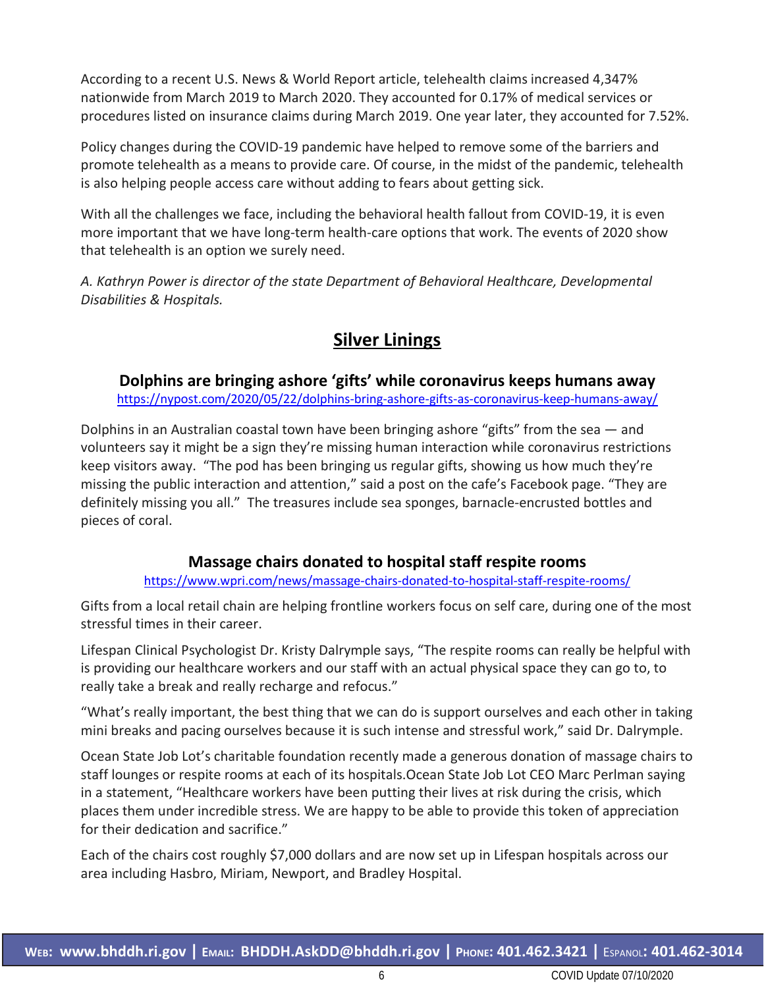According to a recent U.S. News & World Report article, telehealth claims increased 4,347% nationwide from March 2019 to March 2020. They accounted for 0.17% of medical services or procedures listed on insurance claims during March 2019. One year later, they accounted for 7.52%.

Policy changes during the COVID-19 pandemic have helped to remove some of the barriers and promote telehealth as a means to provide care. Of course, in the midst of the pandemic, telehealth is also helping people access care without adding to fears about getting sick.

With all the challenges we face, including the behavioral health fallout from COVID-19, it is even more important that we have long-term health-care options that work. The events of 2020 show that telehealth is an option we surely need.

*A. Kathryn Power is director of the state Department of Behavioral Healthcare, Developmental Disabilities & Hospitals.*

### **Silver Linings**

**Dolphins are bringing ashore 'gifts' while coronavirus keeps humans away**

<https://nypost.com/2020/05/22/dolphins-bring-ashore-gifts-as-coronavirus-keep-humans-away/>

Dolphins in an Australian coastal town have been bringing ashore "gifts" from the sea — and volunteers say it might be a sign they're missing human interaction while coronavirus restrictions keep visitors away. "The pod has been bringing us regular gifts, showing us how much they're missing the public interaction and attention," said a post on the cafe's Facebook page. "They are definitely missing you all." The treasures include sea sponges, barnacle-encrusted bottles and pieces of coral.

### **Massage chairs donated to hospital staff respite rooms**

<https://www.wpri.com/news/massage-chairs-donated-to-hospital-staff-respite-rooms/>

Gifts from a local retail chain are helping frontline workers focus on self care, during one of the most stressful times in their career.

Lifespan Clinical Psychologist Dr. Kristy Dalrymple says, "The respite rooms can really be helpful with is providing our healthcare workers and our staff with an actual physical space they can go to, to really take a break and really recharge and refocus."

"What's really important, the best thing that we can do is support ourselves and each other in taking mini breaks and pacing ourselves because it is such intense and stressful work," said Dr. Dalrymple.

Ocean State Job Lot's charitable foundation recently made a generous donation of massage chairs to staff lounges or respite rooms at each of its hospitals.Ocean State Job Lot CEO Marc Perlman saying in a statement, "Healthcare workers have been putting their lives at risk during the crisis, which places them under incredible stress. We are happy to be able to provide this token of appreciation for their dedication and sacrifice."

Each of the chairs cost roughly \$7,000 dollars and are now set up in Lifespan hospitals across our area including Hasbro, Miriam, Newport, and Bradley Hospital.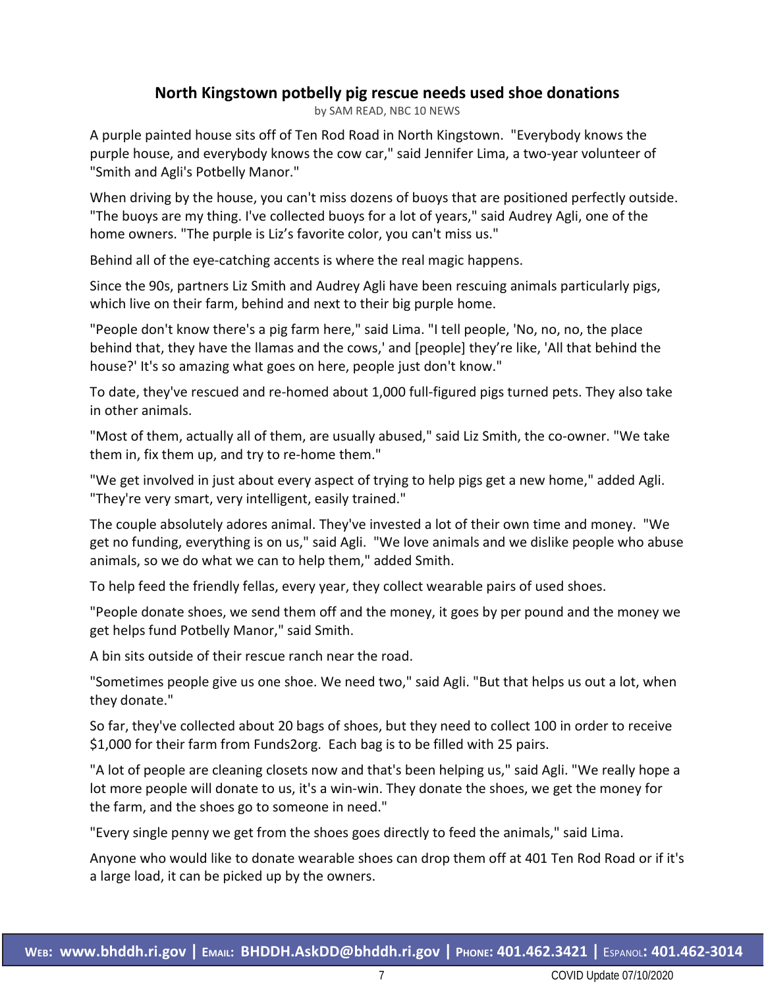### **North Kingstown potbelly pig rescue needs used shoe donations**

by SAM READ, NBC 10 NEWS

A purple painted house sits off of Ten Rod Road in North Kingstown. "Everybody knows the purple house, and everybody knows the cow car," said Jennifer Lima, a two-year volunteer of "Smith and Agli's Potbelly Manor."

When driving by the house, you can't miss dozens of buoys that are positioned perfectly outside. "The buoys are my thing. I've collected buoys for a lot of years," said Audrey Agli, one of the home owners. "The purple is Liz's favorite color, you can't miss us."

Behind all of the eye-catching accents is where the real magic happens.

Since the 90s, partners Liz Smith and Audrey Agli have been rescuing animals particularly pigs, which live on their farm, behind and next to their big purple home.

"People don't know there's a pig farm here," said Lima. "I tell people, 'No, no, no, the place behind that, they have the llamas and the cows,' and [people] they're like, 'All that behind the house?' It's so amazing what goes on here, people just don't know."

To date, they've rescued and re-homed about 1,000 full-figured pigs turned pets. They also take in other animals.

"Most of them, actually all of them, are usually abused," said Liz Smith, the co-owner. "We take them in, fix them up, and try to re-home them."

"We get involved in just about every aspect of trying to help pigs get a new home," added Agli. "They're very smart, very intelligent, easily trained."

The couple absolutely adores animal. They've invested a lot of their own time and money. "We get no funding, everything is on us," said Agli. "We love animals and we dislike people who abuse animals, so we do what we can to help them," added Smith.

To help feed the friendly fellas, every year, they collect wearable pairs of used shoes.

"People donate shoes, we send them off and the money, it goes by per pound and the money we get helps fund Potbelly Manor," said Smith.

A bin sits outside of their rescue ranch near the road.

"Sometimes people give us one shoe. We need two," said Agli. "But that helps us out a lot, when they donate."

So far, they've collected about 20 bags of shoes, but they need to collect 100 in order to receive \$1,000 for their farm from Funds2org. Each bag is to be filled with 25 pairs.

"A lot of people are cleaning closets now and that's been helping us," said Agli. "We really hope a lot more people will donate to us, it's a win-win. They donate the shoes, we get the money for the farm, and the shoes go to someone in need."

"Every single penny we get from the shoes goes directly to feed the animals," said Lima.

Anyone who would like to donate wearable shoes can drop them off at 401 Ten Rod Road or if it's a large load, it can be picked up by the owners.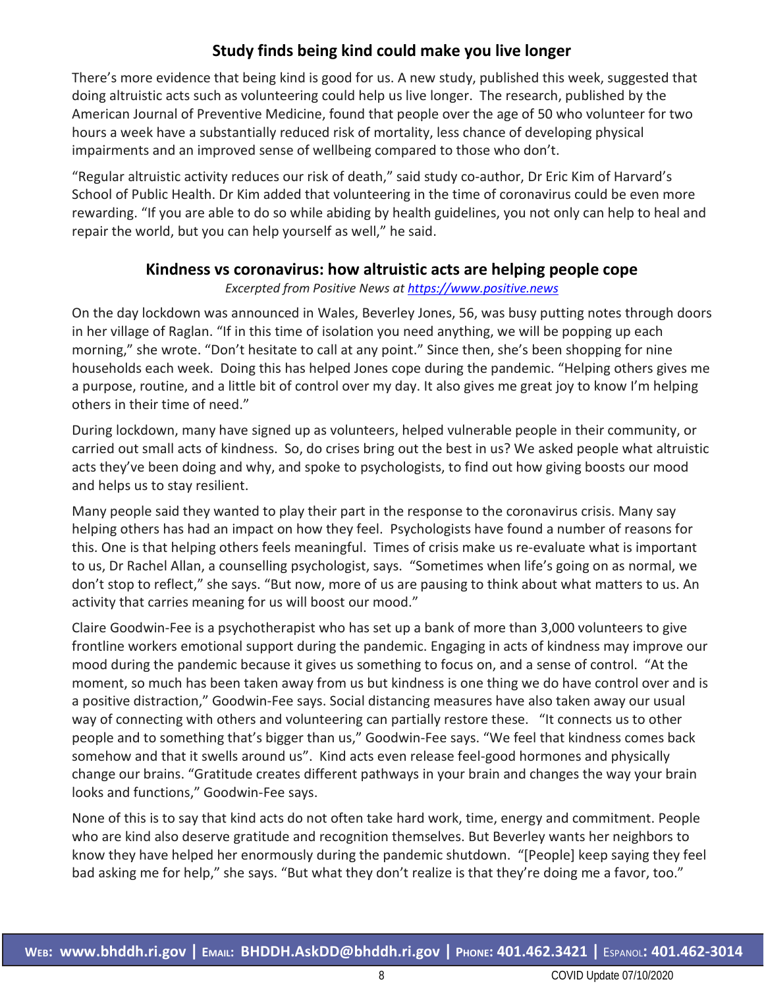### **Study finds being kind could make you live longer**

There's more evidence that being kind is good for us. A new study, published this week, suggested that doing altruistic acts such as volunteering could help us live longer. The research, published by the American Journal of Preventive Medicine, found that people over the age of 50 who volunteer for two hours a week have a substantially reduced risk of mortality, less chance of developing physical impairments and an improved sense of wellbeing compared to those who don't.

"Regular altruistic activity reduces our risk of death," said study co-author, Dr Eric Kim of Harvard's School of Public Health. Dr Kim added that volunteering in the time of coronavirus could be even more rewarding. "If you are able to do so while abiding by health guidelines, you not only can help to heal and repair the world, but you can help yourself as well," he said.

### **Kindness vs coronavirus: how altruistic acts are helping people cope**

*Excerpted from Positive News a[t https://www.positive.news](https://www.positive.news/)*

On the day lockdown was announced in Wales, Beverley Jones, 56, was busy putting notes through doors in her village of Raglan. "If in this time of isolation you need anything, we will be popping up each morning," she wrote. "Don't hesitate to call at any point." Since then, she's been shopping for nine households each week. Doing this has helped Jones cope during the pandemic. "Helping others gives me a purpose, routine, and a little bit of control over my day. It also gives me great joy to know I'm helping others in their time of need."

During lockdown, many have signed up as volunteers, helped vulnerable people in their community, or carried out small acts of kindness. So, do crises bring out the best in us? We asked people what altruistic acts they've been doing and why, and spoke to psychologists, to find out how giving boosts our mood and helps us to stay resilient.

Many people said they wanted to play their part in the response to the coronavirus crisis. Many say helping others has had an impact on how they feel. Psychologists have found a number of reasons for this. One is that helping others feels meaningful. Times of crisis make us re-evaluate what is important to us, Dr Rachel Allan, a counselling psychologist, says. "Sometimes when life's going on as normal, we don't stop to reflect," she says. "But now, more of us are pausing to think about what matters to us. An activity that carries meaning for us will boost our mood."

Claire Goodwin-Fee is a psychotherapist who has set up a bank of more than 3,000 volunteers to give frontline workers emotional support during the pandemic. Engaging in acts of kindness may improve our mood during the pandemic because it gives us something to focus on, and a sense of control. "At the moment, so much has been taken away from us but kindness is one thing we do have control over and is a positive distraction," Goodwin-Fee says. Social distancing measures have also taken away our usual way of connecting with others and volunteering can partially restore these. "It connects us to other people and to something that's bigger than us," Goodwin-Fee says. "We feel that kindness comes back somehow and that it swells around us". Kind acts even release feel-good hormones and physically change our brains. "Gratitude creates different pathways in your brain and changes the way your brain looks and functions," Goodwin-Fee says.

None of this is to say that kind acts do not often take hard work, time, energy and commitment. People who are kind also deserve gratitude and recognition themselves. But Beverley wants her neighbors to know they have helped her enormously during the pandemic shutdown. "[People] keep saying they feel bad asking me for help," she says. "But what they don't realize is that they're doing me a favor, too."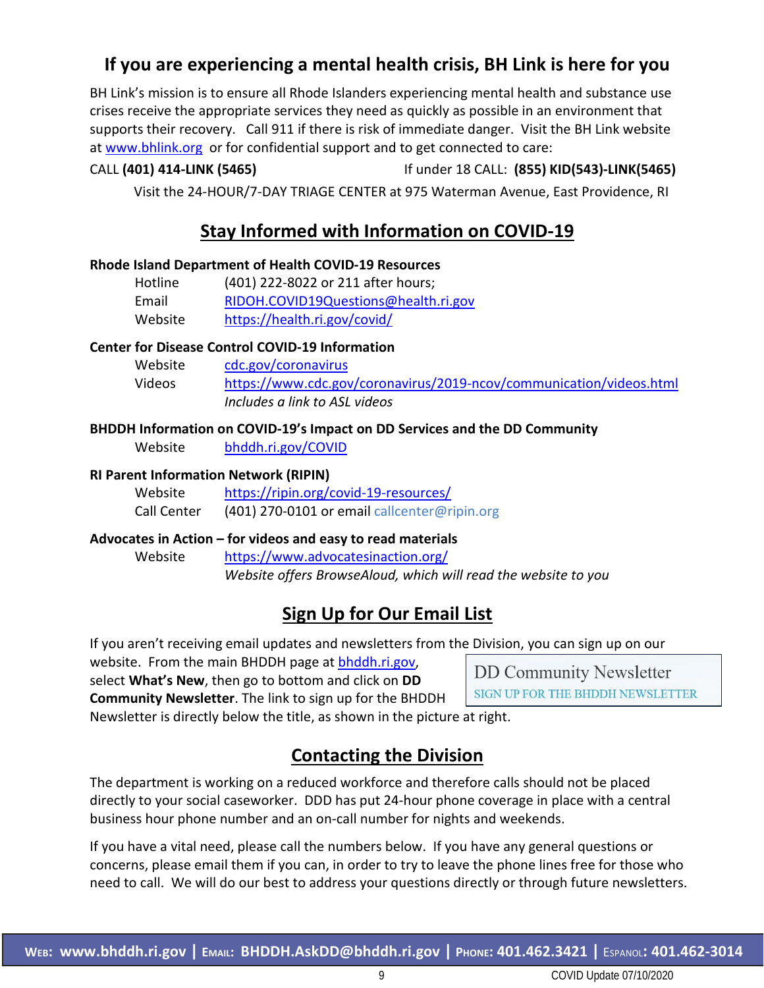### **If you are experiencing a mental health crisis, BH Link is here for you**

BH Link's mission is to ensure all Rhode Islanders experiencing mental health and substance use crises receive the appropriate services they need as quickly as possible in an environment that supports their recovery. Call 911 if there is risk of immediate danger. Visit the BH Link website at [www.bhlink.org](http://www.bhlink.org/) or for confidential support and to get connected to care:

### CALL **(401) 414-LINK (5465)** If under 18 CALL: **(855) KID(543)-LINK(5465)**

Visit the 24-HOUR/7-DAY TRIAGE CENTER at 975 Waterman Avenue, East Providence, RI

### **Stay Informed with Information on COVID-19**

#### **Rhode Island Department of Health COVID-19 Resources**

| Hotline | (401) 222-8022 or 211 after hours;   |
|---------|--------------------------------------|
| Email   | RIDOH.COVID19Questions@health.ri.gov |
| Website | https://health.ri.gov/covid/         |

#### **Center for Disease Control COVID-19 Information**

| Website | cdc.gov/coronavirus                                                 |
|---------|---------------------------------------------------------------------|
| Videos  | https://www.cdc.gov/coronavirus/2019-ncov/communication/videos.html |
|         | Includes a link to ASL videos                                       |

#### **BHDDH Information on COVID-19's Impact on DD Services and the DD Community**

Website [bhddh.ri.gov/COVID](http://www.bhddh.ri.gov/COVID) 

#### **RI Parent Information Network (RIPIN)**

| Website     | https://ripin.org/covid-19-resources/        |
|-------------|----------------------------------------------|
| Call Center | (401) 270-0101 or email callcenter@ripin.org |

#### **Advocates in Action – for videos and easy to read materials**

Website <https://www.advocatesinaction.org/> *Website offers BrowseAloud, which will read the website to you*

### **Sign Up for Our Email List**

If you aren't receiving email updates and newsletters from the Division, you can sign up on our

website. From the main BHDDH page at [bhddh.ri.gov,](http://www.bhddh.ri.gov/) select **What's New**, then go to bottom and click on **DD Community Newsletter**. The link to sign up for the BHDDH

**DD Community Newsletter** SIGN UP FOR THE BHDDH NEWSLETTER

Newsletter is directly below the title, as shown in the picture at right.

### **Contacting the Division**

The department is working on a reduced workforce and therefore calls should not be placed directly to your social caseworker. DDD has put 24-hour phone coverage in place with a central business hour phone number and an on-call number for nights and weekends.

If you have a vital need, please call the numbers below. If you have any general questions or concerns, please email them if you can, in order to try to leave the phone lines free for those who need to call. We will do our best to address your questions directly or through future newsletters.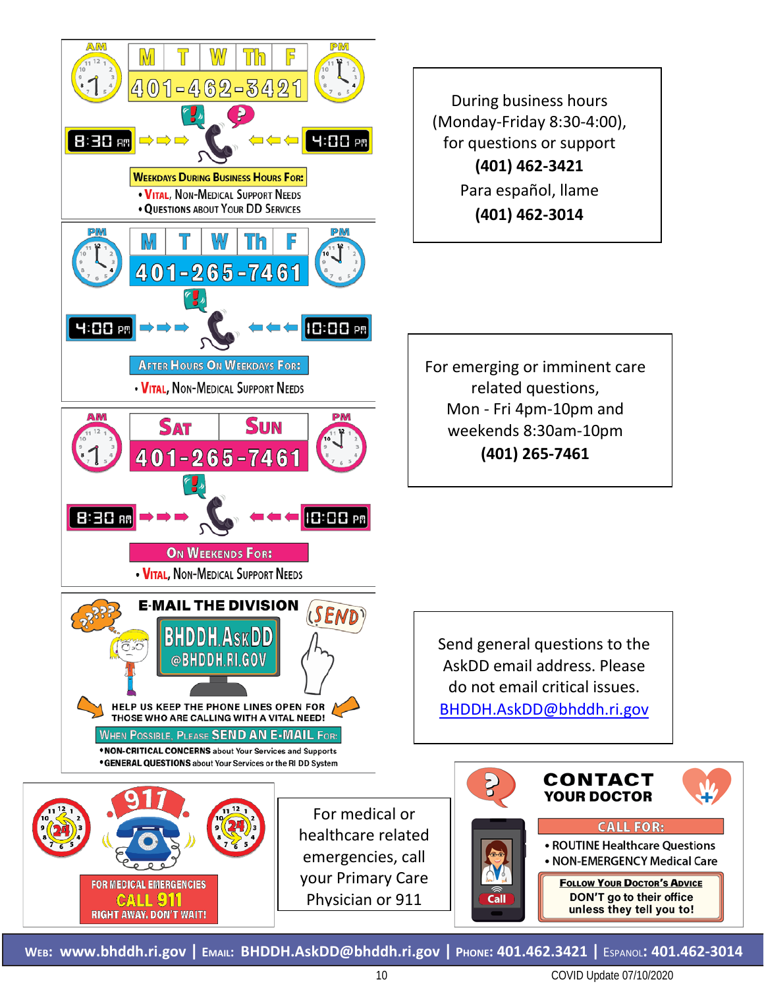

**WEB: [www.bhddh.ri.gov](http://www.bhddh.ri.gov/) | EMAIL: [BHDDH.AskDD@bhddh.ri.gov](mailto:BHDDH.AskDD@bhddh.ri.gov) | PHONE: 401.462.3421 |** ESPANOL**: 401.462-3014**